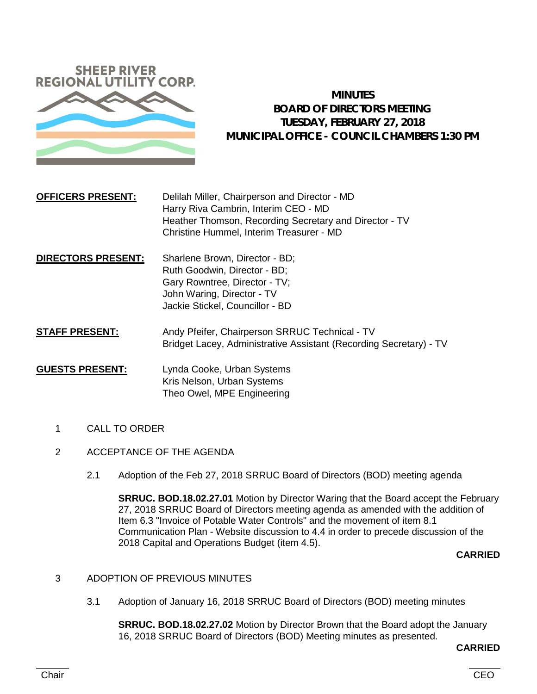

# **MINUTES BOARD OF DIRECTORS MEETING TUESDAY, FEBRUARY 27, 2018 MUNICIPAL OFFICE - COUNCIL CHAMBERS 1:30 PM**

# **OFFICERS PRESENT:** Delilah Miller, Chairperson and Director - MD Harry Riva Cambrin, Interim CEO - MD Heather Thomson, Recording Secretary and Director - TV Christine Hummel, Interim Treasurer - MD

- **DIRECTORS PRESENT:** Sharlene Brown, Director BD; Ruth Goodwin, Director - BD; Gary Rowntree, Director - TV; John Waring, Director - TV Jackie Stickel, Councillor - BD
- **STAFF PRESENT:** Andy Pfeifer, Chairperson SRRUC Technical TV Bridget Lacey, Administrative Assistant (Recording Secretary) - TV

# **GUESTS PRESENT:** Lynda Cooke, Urban Systems Kris Nelson, Urban Systems Theo Owel, MPE Engineering

- 1 CALL TO ORDER
- 2 ACCEPTANCE OF THE AGENDA
	- 2.1 Adoption of the Feb 27, 2018 SRRUC Board of Directors (BOD) meeting agenda

**SRRUC. BOD.18.02.27.01** Motion by Director Waring that the Board accept the February 27, 2018 SRRUC Board of Directors meeting agenda as amended with the addition of Item 6.3 "Invoice of Potable Water Controls" and the movement of item 8.1 Communication Plan - Website discussion to 4.4 in order to precede discussion of the 2018 Capital and Operations Budget (item 4.5).

# **CARRIED**

- 3 ADOPTION OF PREVIOUS MINUTES
	- 3.1 Adoption of January 16, 2018 SRRUC Board of Directors (BOD) meeting minutes

**SRRUC. BOD.18.02.27.02** Motion by Director Brown that the Board adopt the January 16, 2018 SRRUC Board of Directors (BOD) Meeting minutes as presented.

#### **CARRIED**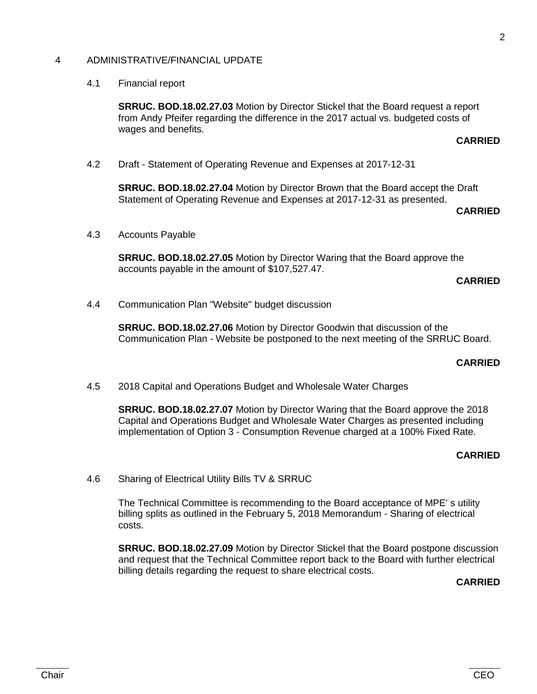### 4 ADMINISTRATIVE/FINANCIAL UPDATE

#### 4.1 Financial report

**SRRUC. BOD.18.02.27.03** Motion by Director Stickel that the Board request a report from Andy Pfeifer regarding the difference in the 2017 actual vs. budgeted costs of wages and benefits.

#### **CARRIED**

4.2 Draft - Statement of Operating Revenue and Expenses at 2017-12-31

**SRRUC. BOD.18.02.27.04** Motion by Director Brown that the Board accept the Draft Statement of Operating Revenue and Expenses at 2017-12-31 as presented.

### **CARRIED**

4.3 Accounts Payable

**SRRUC. BOD.18.02.27.05** Motion by Director Waring that the Board approve the accounts payable in the amount of \$107,527.47.

#### **CARRIED**

4.4 Communication Plan "Website" budget discussion

**SRRUC. BOD.18.02.27.06** Motion by Director Goodwin that discussion of the Communication Plan - Website be postponed to the next meeting of the SRRUC Board.

### **CARRIED**

4.5 2018 Capital and Operations Budget and Wholesale Water Charges

**SRRUC. BOD.18.02.27.07** Motion by Director Waring that the Board approve the 2018 Capital and Operations Budget and Wholesale Water Charges as presented including implementation of Option 3 - Consumption Revenue charged at a 100% Fixed Rate.

#### **CARRIED**

4.6 Sharing of Electrical Utility Bills TV & SRRUC

The Technical Committee is recommending to the Board acceptance of MPE' s utility billing splits as outlined in the February 5, 2018 Memorandum - Sharing of electrical costs.

**SRRUC. BOD.18.02.27.09** Motion by Director Stickel that the Board postpone discussion and request that the Technical Committee report back to the Board with further electrical billing details regarding the request to share electrical costs.

# **CARRIED**

2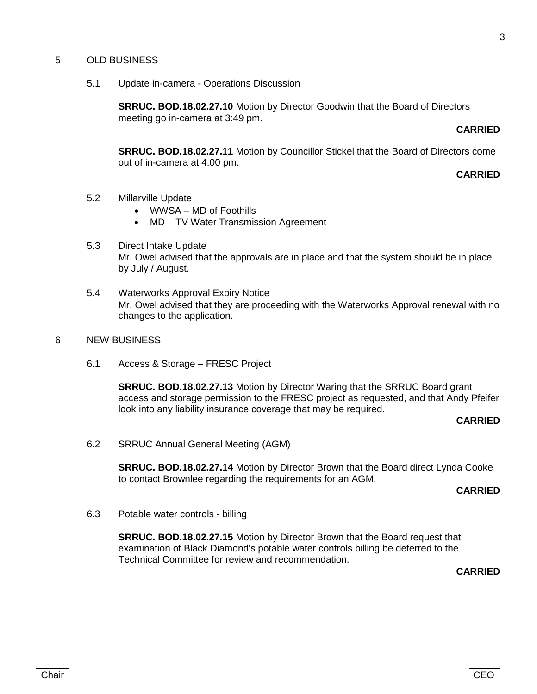### 5 OLD BUSINESS

5.1 Update in-camera - Operations Discussion

**SRRUC. BOD.18.02.27.10** Motion by Director Goodwin that the Board of Directors meeting go in-camera at 3:49 pm.

#### **CARRIED**

**SRRUC. BOD.18.02.27.11** Motion by Councillor Stickel that the Board of Directors come out of in-camera at 4:00 pm.

### **CARRIED**

- 5.2 Millarville Update
	- WWSA MD of Foothills
	- MD TV Water Transmission Agreement
- 5.3 Direct Intake Update Mr. Owel advised that the approvals are in place and that the system should be in place by July / August.
- 5.4 Waterworks Approval Expiry Notice Mr. Owel advised that they are proceeding with the Waterworks Approval renewal with no changes to the application.
- 6 NEW BUSINESS
	- 6.1 Access & Storage FRESC Project

**SRRUC. BOD.18.02.27.13** Motion by Director Waring that the SRRUC Board grant access and storage permission to the FRESC project as requested, and that Andy Pfeifer look into any liability insurance coverage that may be required.

#### **CARRIED**

6.2 SRRUC Annual General Meeting (AGM)

**SRRUC. BOD.18.02.27.14** Motion by Director Brown that the Board direct Lynda Cooke to contact Brownlee regarding the requirements for an AGM.

#### **CARRIED**

6.3 Potable water controls - billing

**SRRUC. BOD.18.02.27.15** Motion by Director Brown that the Board request that examination of Black Diamond's potable water controls billing be deferred to the Technical Committee for review and recommendation.

**CARRIED**